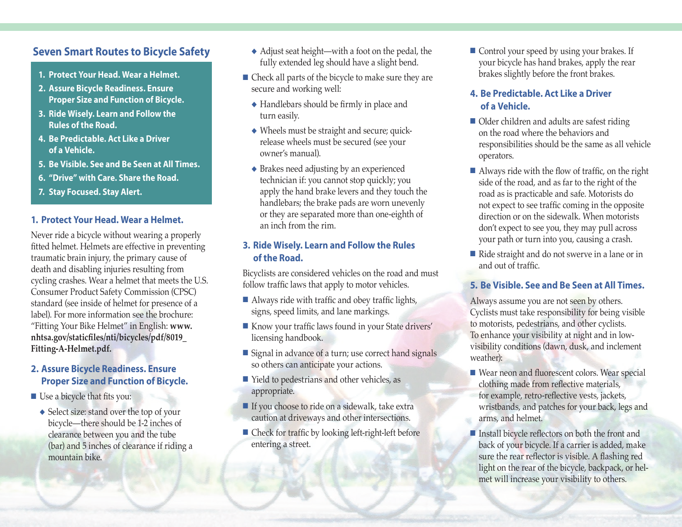# **Seven Smart Routes to Bicycle Safety**

- **1. Protect Your Head. Wear a Helmet.**
- **2. Assure Bicycle Readiness. Ensure Proper Size and Function of Bicycle.**
- **3. Ride Wisely. Learn and Follow the Rules of the Road.**
- **4. Be Predictable. Act Like a Driver of a Vehicle.**
- **5. Be Visible. See and Be Seen at All Times.**
- **6. "Drive" with Care. Share the Road.**
- **7. Stay Focused. Stay Alert.**

#### **1. Protect Your Head. Wear a Helmet.**

Never ride a bicycle without wearing a properly fitted helmet. Helmets are effective in preventing traumatic brain injury, the primary cause of death and disabling injuries resulting from cycling crashes. Wear a helmet that meets the U.S. Consumer Product Safety Commission (CPSC) standard (see inside of helmet for presence of a label). For more information see the brochure: "Fitting Your Bike Helmet" in English: **[www.](http://www.nhtsa.gov/staticfiles/nti/bicycles/pdf/8019_Fitting-A-Helmet.pdf) [nhtsa.gov/staticfiles/nti/bicycles/pdf/8019\\_](http://www.nhtsa.gov/staticfiles/nti/bicycles/pdf/8019_Fitting-A-Helmet.pdf) [Fitting-A-Helmet.pdf](http://www.nhtsa.gov/staticfiles/nti/bicycles/pdf/8019_Fitting-A-Helmet.pdf).**

#### **2. Assure Bicycle Readiness. Ensure Proper Size and Function of Bicycle.**

- $\blacksquare$  Use a bicycle that fits you:
	- $\blacklozenge$  Select size: stand over the top of your bicycle—there should be 1-2 inches of clearance between you and the tube (bar) and 5 inches of clearance if riding a mountain bike.
- $\triangle$  Adjust seat height—with a foot on the pedal, the fully extended leg should have a slight bend.
- Check all parts of the bicycle to make sure they are secure and working well:
	- $\triangle$  Handlebars should be firmly in place and turn easily.
	- $\blacklozenge$  Wheels must be straight and secure; quickrelease wheels must be secured (see your owner's manual).
	- $\triangle$  Brakes need adjusting by an experienced technician if: you cannot stop quickly; you apply the hand brake levers and they touch the handlebars; the brake pads are worn unevenly or they are separated more than one-eighth of an inch from the rim.

### **3. Ride Wisely. Learn and Follow the Rules of the Road.**

Bicyclists are considered vehicles on the road and must follow traffic laws that apply to motor vehicles.

- $\blacksquare$  Always ride with traffic and obey traffic lights, signs, speed limits, and lane markings.
- Know your traffic laws found in your State drivers' licensing handbook.
- Signal in advance of a turn; use correct hand signals so others can anticipate your actions.
- $\blacksquare$  Yield to pedestrians and other vehicles, as appropriate.
- $\blacksquare$  If you choose to ride on a sidewalk, take extra caution at driveways and other intersections.
- $\blacksquare$  Check for traffic by looking left-right-left before entering a street.

■ Control your speed by using your brakes. If your bicycle has hand brakes, apply the rear brakes slightly before the front brakes.

### **4. Be Predictable. Act Like a Driver of a Vehicle.**

- $\blacksquare$  Older children and adults are safest riding on the road where the behaviors and responsibilities should be the same as all vehicle operators.
- $\blacksquare$  Always ride with the flow of traffic, on the right side of the road, and as far to the right of the road as is practicable and safe. Motorists do not expect to see traffic coming in the opposite direction or on the sidewalk. When motorists don't expect to see you, they may pull across your path or turn into you, causing a crash.
- Ride straight and do not swerve in a lane or in and out of traffic.

#### **5. Be Visible. See and Be Seen at All Times.**

Always assume you are not seen by others. Cyclists must take responsibility for being visible to motorists, pedestrians, and other cyclists. To enhance your visibility at night and in lowvisibility conditions (dawn, dusk, and inclement weather):

- Wear neon and fluorescent colors. Wear special clothing made from reflective materials, for example, retro-reflective vests, jackets, wristbands, and patches for your back, legs and arms, and helmet.
- $\blacksquare$  Install bicycle reflectors on both the front and back of your bicycle. If a carrier is added, make sure the rear reflector is visible. A flashing red light on the rear of the bicycle, backpack, or helmet will increase your visibility to others.